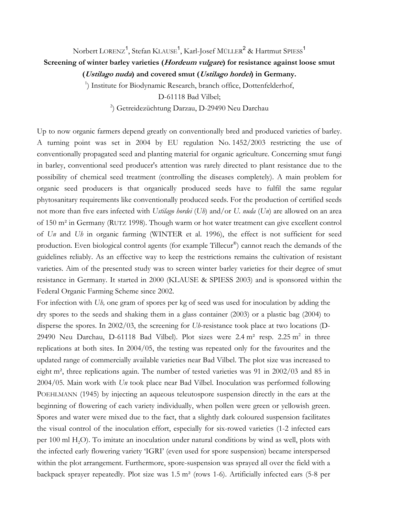## Norbert LORENZ $^1$ , Stefan KLAUSE $^1$ , Karl-Josef MÜLLER $^2$  & Hartmut SPIESS $^1$ **Screening of winter barley varieties (Hordeum vulgare) for resistance against loose smut (Ustilago nuda) and covered smut (Ustilago hordei) in Germany.**

<sup>1</sup>) Institute for Biodynamic Research, branch office, Dottenfelderhof,

D-61118 Bad Vilbel;

2 ) Getreidezüchtung Darzau, D-29490 Neu Darchau

Up to now organic farmers depend greatly on conventionally bred and produced varieties of barley. A turning point was set in 2004 by EU regulation No. 1452/2003 restricting the use of conventionally propagated seed and planting material for organic agriculture. Concerning smut fungi in barley, conventional seed producer's attention was rarely directed to plant resistance due to the possibility of chemical seed treatment (controlling the diseases completely). A main problem for organic seed producers is that organically produced seeds have to fulfil the same regular phytosanitary requirements like conventionally produced seeds. For the production of certified seeds not more than five ears infected with *Ustilago hordei* (*Uh*) and/or *U. nuda* (*Un*) are allowed on an area of 150 m² in Germany (RUTZ 1998). Though warm or hot water treatment can give excellent control of *Un* and *Uh* in organic farming (WINTER et al. 1996), the effect is not sufficient for seed production. Even biological control agents (for example Tillecur®) cannot reach the demands of the guidelines reliably. As an effective way to keep the restrictions remains the cultivation of resistant varieties. Aim of the presented study was to screen winter barley varieties for their degree of smut resistance in Germany. It started in 2000 (KLAUSE & SPIESS 2003) and is sponsored within the Federal Organic Farming Scheme since 2002.

For infection with *Uh,* one gram of spores per kg of seed was used for inoculation by adding the dry spores to the seeds and shaking them in a glass container (2003) or a plastic bag (2004) to disperse the spores. In 2002/03, the screening for *Uh*-resistance took place at two locations (D-29490 Neu Darchau, D-61118 Bad Vilbel). Plot sizes were  $2.4 \text{ m}^2$  resp.  $2.25 \text{ m}^2$  in three replications at both sites. In 2004/05, the testing was repeated only for the favourites and the updated range of commercially available varieties near Bad Vilbel. The plot size was increased to eight m², three replications again. The number of tested varieties was 91 in 2002/03 and 85 in 2004/05. Main work with *Un* took place near Bad Vilbel. Inoculation was performed following POEHLMANN (1945) by injecting an aqueous teleutospore suspension directly in the ears at the beginning of flowering of each variety individually, when pollen were green or yellowish green. Spores and water were mixed due to the fact, that a slightly dark coloured suspension facilitates the visual control of the inoculation effort, especially for six-rowed varieties (1-2 infected ears per 100 ml H<sub>2</sub>O). To imitate an inoculation under natural conditions by wind as well, plots with the infected early flowering variety 'IGRI' (even used for spore suspension) became interspersed within the plot arrangement. Furthermore, spore-suspension was sprayed all over the field with a backpack sprayer repeatedly. Plot size was 1.5 m² (rows 1-6). Artificially infected ears (5-8 per